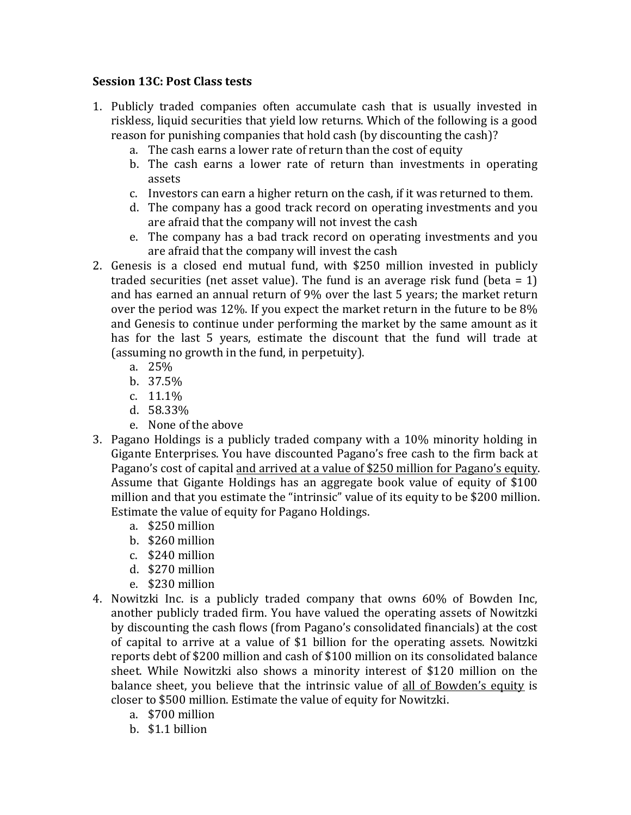## **Session 13C**: Post Class tests

- 1. Publicly traded companies often accumulate cash that is usually invested in riskless, liquid securities that yield low returns. Which of the following is a good reason for punishing companies that hold cash (by discounting the cash)?
	- a. The cash earns a lower rate of return than the cost of equity
	- b. The cash earns a lower rate of return than investments in operating assets
	- c. Investors can earn a higher return on the cash, if it was returned to them.
	- d. The company has a good track record on operating investments and you are afraid that the company will not invest the cash
	- e. The company has a bad track record on operating investments and you are afraid that the company will invest the cash
- 2. Genesis is a closed end mutual fund, with \$250 million invested in publicly traded securities (net asset value). The fund is an average risk fund (beta  $= 1$ ) and has earned an annual return of 9% over the last 5 years; the market return over the period was 12%. If you expect the market return in the future to be  $8\%$ and Genesis to continue under performing the market by the same amount as it has for the last 5 years, estimate the discount that the fund will trade at (assuming no growth in the fund, in perpetuity).
	- a. 25%
	- b. 37.5%
	- c. 11.1%
	- d. 58.33%
	- e. None of the above
- 3. Pagano Holdings is a publicly traded company with a 10% minority holding in Gigante Enterprises. You have discounted Pagano's free cash to the firm back at Pagano's cost of capital and arrived at a value of \$250 million for Pagano's equity. Assume that Gigante Holdings has an aggregate book value of equity of \$100 million and that you estimate the "intrinsic" value of its equity to be \$200 million. Estimate the value of equity for Pagano Holdings.
	- a. \$250 million
	- b. \$260 million
	- c. \$240 million
	- d. \$270 million
	- e. \$230 million
- 4. Nowitzki Inc. is a publicly traded company that owns 60% of Bowden Inc, another publicly traded firm. You have valued the operating assets of Nowitzki by discounting the cash flows (from Pagano's consolidated financials) at the cost of capital to arrive at a value of \$1 billion for the operating assets. Nowitzki reports debt of \$200 million and cash of \$100 million on its consolidated balance sheet. While Nowitzki also shows a minority interest of \$120 million on the balance sheet, you believe that the intrinsic value of all of Bowden's equity is closer to \$500 million. Estimate the value of equity for Nowitzki.
	- a. \$700 million
	- b. \$1.1 billion